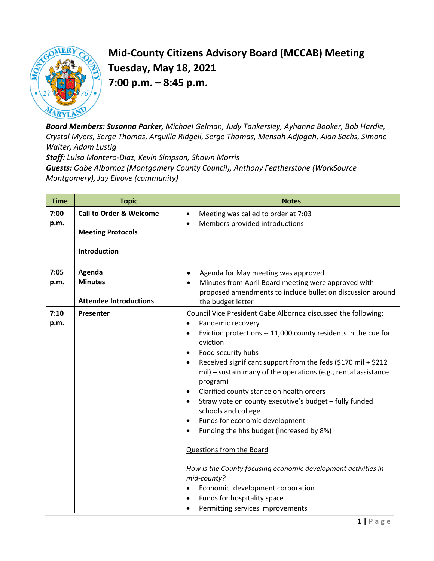

## **Mid-County Citizens Advisory Board (MCCAB) Meeting Tuesday, May 18, 2021 7:00 p.m. – 8:45 p.m.**

*Board Members: Susanna Parker, Michael Gelman, Judy Tankersley, Ayhanna Booker, Bob Hardie, Crystal Myers, Serge Thomas, Arquilla Ridgell, Serge Thomas, Mensah Adjogah, Alan Sachs, Simone Walter, Adam Lustig* 

*Staff: Luisa Montero-Diaz, Kevin Simpson, Shawn Morris Guests: Gabe Albornoz (Montgomery County Council), Anthony Featherstone (WorkSource Montgomery), Jay Elvove (community)*

| <b>Time</b>  | <b>Topic</b>                                                                   | <b>Notes</b>                                                                                                                                                                                                                                                                                                                                                                                                                                                                                                                                                                                                                                                                                                                                                                                                                                                                             |
|--------------|--------------------------------------------------------------------------------|------------------------------------------------------------------------------------------------------------------------------------------------------------------------------------------------------------------------------------------------------------------------------------------------------------------------------------------------------------------------------------------------------------------------------------------------------------------------------------------------------------------------------------------------------------------------------------------------------------------------------------------------------------------------------------------------------------------------------------------------------------------------------------------------------------------------------------------------------------------------------------------|
| 7:00<br>p.m. | <b>Call to Order &amp; Welcome</b><br><b>Meeting Protocols</b><br>Introduction | Meeting was called to order at 7:03<br>$\bullet$<br>Members provided introductions<br>$\bullet$                                                                                                                                                                                                                                                                                                                                                                                                                                                                                                                                                                                                                                                                                                                                                                                          |
| 7:05         | Agenda                                                                         | Agenda for May meeting was approved<br>$\bullet$                                                                                                                                                                                                                                                                                                                                                                                                                                                                                                                                                                                                                                                                                                                                                                                                                                         |
| p.m.         | <b>Minutes</b><br><b>Attendee Introductions</b>                                | Minutes from April Board meeting were approved with<br>proposed amendments to include bullet on discussion around<br>the budget letter                                                                                                                                                                                                                                                                                                                                                                                                                                                                                                                                                                                                                                                                                                                                                   |
| 7:10<br>p.m. | Presenter                                                                      | Council Vice President Gabe Albornoz discussed the following:<br>Pandemic recovery<br>$\bullet$<br>Eviction protections -- 11,000 county residents in the cue for<br>$\bullet$<br>eviction<br>Food security hubs<br>$\bullet$<br>Received significant support from the feds (\$170 mil + \$212<br>$\bullet$<br>mil) - sustain many of the operations (e.g., rental assistance<br>program)<br>Clarified county stance on health orders<br>$\bullet$<br>Straw vote on county executive's budget - fully funded<br>$\bullet$<br>schools and college<br>Funds for economic development<br>$\bullet$<br>Funding the hhs budget (increased by 8%)<br>$\bullet$<br>Questions from the Board<br>How is the County focusing economic development activities in<br>mid-county?<br>Economic development corporation<br>$\bullet$<br>Funds for hospitality space<br>Permitting services improvements |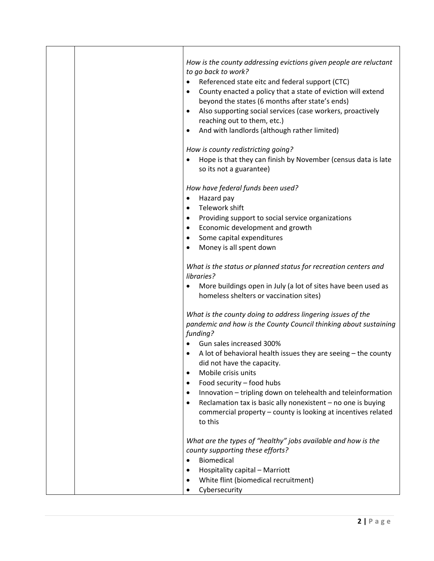| How is the county addressing evictions given people are reluctant<br>to go back to work?<br>Referenced state eitc and federal support (CTC)<br>$\bullet$<br>County enacted a policy that a state of eviction will extend<br>$\bullet$<br>beyond the states (6 months after state's ends)<br>Also supporting social services (case workers, proactively<br>$\bullet$<br>reaching out to them, etc.)<br>And with landlords (although rather limited)                                                                                                                                  |
|-------------------------------------------------------------------------------------------------------------------------------------------------------------------------------------------------------------------------------------------------------------------------------------------------------------------------------------------------------------------------------------------------------------------------------------------------------------------------------------------------------------------------------------------------------------------------------------|
| How is county redistricting going?<br>Hope is that they can finish by November (census data is late<br>$\bullet$<br>so its not a guarantee)                                                                                                                                                                                                                                                                                                                                                                                                                                         |
| How have federal funds been used?<br>Hazard pay<br>$\bullet$<br>Telework shift<br>$\bullet$<br>Providing support to social service organizations<br>$\bullet$<br>Economic development and growth<br>$\bullet$<br>Some capital expenditures<br>$\bullet$<br>Money is all spent down<br>$\bullet$                                                                                                                                                                                                                                                                                     |
| What is the status or planned status for recreation centers and<br>libraries?<br>More buildings open in July (a lot of sites have been used as<br>٠<br>homeless shelters or vaccination sites)                                                                                                                                                                                                                                                                                                                                                                                      |
| What is the county doing to address lingering issues of the<br>pandemic and how is the County Council thinking about sustaining<br>funding?<br>Gun sales increased 300%<br>A lot of behavioral health issues they are seeing - the county<br>did not have the capacity.<br>Mobile crisis units<br>٠<br>Food security - food hubs<br>$\bullet$<br>Innovation - tripling down on telehealth and teleinformation<br>$\bullet$<br>Reclamation tax is basic ally nonexistent - no one is buying<br>$\bullet$<br>commercial property - county is looking at incentives related<br>to this |
| What are the types of "healthy" jobs available and how is the<br>county supporting these efforts?<br><b>Biomedical</b><br>$\bullet$<br>Hospitality capital - Marriott<br>$\bullet$<br>White flint (biomedical recruitment)<br>Cybersecurity                                                                                                                                                                                                                                                                                                                                         |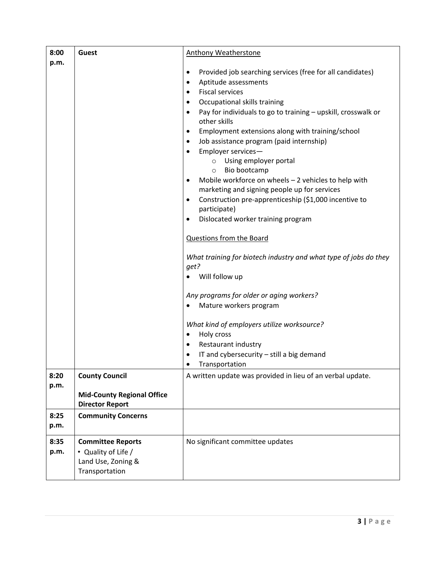| 8:00         | Guest                                                                                   | <b>Anthony Weatherstone</b>                                                                                                                                                                                                                                                                                                                                                                                                                                                                                                                                                                                                                                                                                                                                                                                                                                                                                                                                                                                                                                                                                                                                           |
|--------------|-----------------------------------------------------------------------------------------|-----------------------------------------------------------------------------------------------------------------------------------------------------------------------------------------------------------------------------------------------------------------------------------------------------------------------------------------------------------------------------------------------------------------------------------------------------------------------------------------------------------------------------------------------------------------------------------------------------------------------------------------------------------------------------------------------------------------------------------------------------------------------------------------------------------------------------------------------------------------------------------------------------------------------------------------------------------------------------------------------------------------------------------------------------------------------------------------------------------------------------------------------------------------------|
| p.m.         |                                                                                         | Provided job searching services (free for all candidates)<br>$\bullet$<br>Aptitude assessments<br>$\bullet$<br><b>Fiscal services</b><br>$\bullet$<br>Occupational skills training<br>$\bullet$<br>Pay for individuals to go to training - upskill, crosswalk or<br>$\bullet$<br>other skills<br>Employment extensions along with training/school<br>$\bullet$<br>Job assistance program (paid internship)<br>$\bullet$<br>Employer services-<br>$\bullet$<br>Using employer portal<br>$\circ$<br>Bio bootcamp<br>$\circ$<br>Mobile workforce on wheels - 2 vehicles to help with<br>$\bullet$<br>marketing and signing people up for services<br>Construction pre-apprenticeship (\$1,000 incentive to<br>$\bullet$<br>participate)<br>Dislocated worker training program<br>$\bullet$<br><b>Questions from the Board</b><br>What training for biotech industry and what type of jobs do they<br>get?<br>Will follow up<br>Any programs for older or aging workers?<br>Mature workers program<br>What kind of employers utilize worksource?<br>Holy cross<br>$\bullet$<br>Restaurant industry<br>$\bullet$<br>IT and cybersecurity - still a big demand<br>$\bullet$ |
| 8:20         | <b>County Council</b>                                                                   | Transportation<br>A written update was provided in lieu of an verbal update.                                                                                                                                                                                                                                                                                                                                                                                                                                                                                                                                                                                                                                                                                                                                                                                                                                                                                                                                                                                                                                                                                          |
| p.m.         | <b>Mid-County Regional Office</b><br><b>Director Report</b>                             |                                                                                                                                                                                                                                                                                                                                                                                                                                                                                                                                                                                                                                                                                                                                                                                                                                                                                                                                                                                                                                                                                                                                                                       |
| 8:25<br>p.m. | <b>Community Concerns</b>                                                               |                                                                                                                                                                                                                                                                                                                                                                                                                                                                                                                                                                                                                                                                                                                                                                                                                                                                                                                                                                                                                                                                                                                                                                       |
| 8:35<br>p.m. | <b>Committee Reports</b><br>• Quality of Life /<br>Land Use, Zoning &<br>Transportation | No significant committee updates                                                                                                                                                                                                                                                                                                                                                                                                                                                                                                                                                                                                                                                                                                                                                                                                                                                                                                                                                                                                                                                                                                                                      |